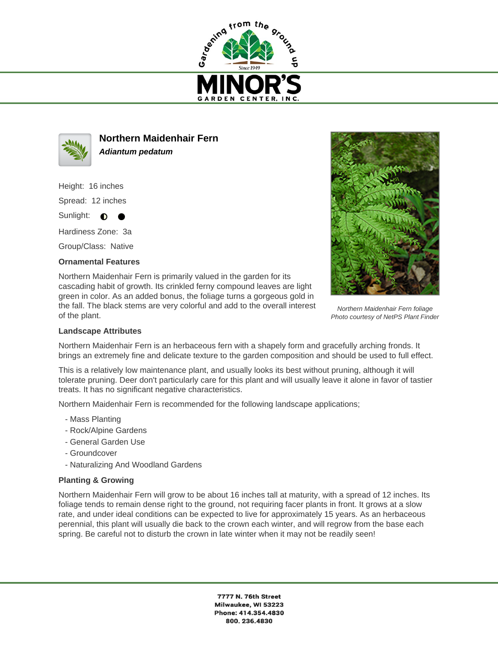



**Northern Maidenhair Fern Adiantum pedatum**

Height: 16 inches

Spread: 12 inches

Sunlight:  $\bullet$ 

Hardiness Zone: 3a

Group/Class: Native

## **Ornamental Features**

Northern Maidenhair Fern is primarily valued in the garden for its cascading habit of growth. Its crinkled ferny compound leaves are light green in color. As an added bonus, the foliage turns a gorgeous gold in the fall. The black stems are very colorful and add to the overall interest of the plant.



Northern Maidenhair Fern foliage Photo courtesy of NetPS Plant Finder

## **Landscape Attributes**

Northern Maidenhair Fern is an herbaceous fern with a shapely form and gracefully arching fronds. It brings an extremely fine and delicate texture to the garden composition and should be used to full effect.

This is a relatively low maintenance plant, and usually looks its best without pruning, although it will tolerate pruning. Deer don't particularly care for this plant and will usually leave it alone in favor of tastier treats. It has no significant negative characteristics.

Northern Maidenhair Fern is recommended for the following landscape applications;

- Mass Planting
- Rock/Alpine Gardens
- General Garden Use
- Groundcover
- Naturalizing And Woodland Gardens

## **Planting & Growing**

Northern Maidenhair Fern will grow to be about 16 inches tall at maturity, with a spread of 12 inches. Its foliage tends to remain dense right to the ground, not requiring facer plants in front. It grows at a slow rate, and under ideal conditions can be expected to live for approximately 15 years. As an herbaceous perennial, this plant will usually die back to the crown each winter, and will regrow from the base each spring. Be careful not to disturb the crown in late winter when it may not be readily seen!

> 7777 N. 76th Street Milwaukee, WI 53223 Phone: 414.354.4830 800.236.4830